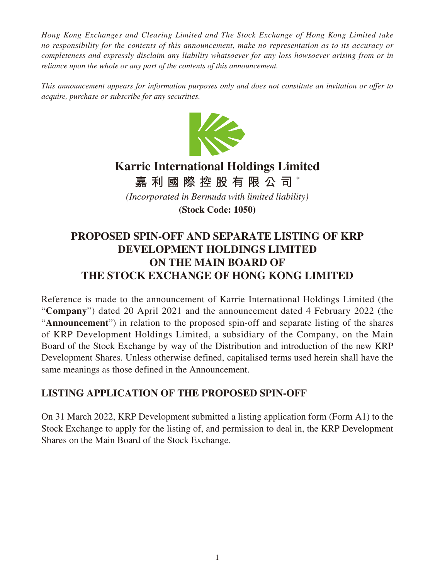*Hong Kong Exchanges and Clearing Limited and The Stock Exchange of Hong Kong Limited take no responsibility for the contents of this announcement, make no representation as to its accuracy or completeness and expressly disclaim any liability whatsoever for any loss howsoever arising from or in reliance upon the whole or any part of the contents of this announcement.*

*This announcement appears for information purposes only and does not constitute an invitation or offer to acquire, purchase or subscribe for any securities.*



## **Karrie International Holdings Limited**

**嘉利國際控股有限公司** \*

*(Incorporated in Bermuda with limited liability)*

**(Stock Code: 1050)**

## **PROPOSED SPIN-OFF AND SEPARATE LISTING OF KRP DEVELOPMENT HOLDINGS LIMITED ON THE MAIN BOARD OF THE STOCK EXCHANGE OF HONG KONG LIMITED**

Reference is made to the announcement of Karrie International Holdings Limited (the "**Company**") dated 20 April 2021 and the announcement dated 4 February 2022 (the "**Announcement**") in relation to the proposed spin-off and separate listing of the shares of KRP Development Holdings Limited, a subsidiary of the Company, on the Main Board of the Stock Exchange by way of the Distribution and introduction of the new KRP Development Shares. Unless otherwise defined, capitalised terms used herein shall have the same meanings as those defined in the Announcement.

## **LISTING APPLICATION OF THE PROPOSED SPIN-OFF**

On 31 March 2022, KRP Development submitted a listing application form (Form A1) to the Stock Exchange to apply for the listing of, and permission to deal in, the KRP Development Shares on the Main Board of the Stock Exchange.